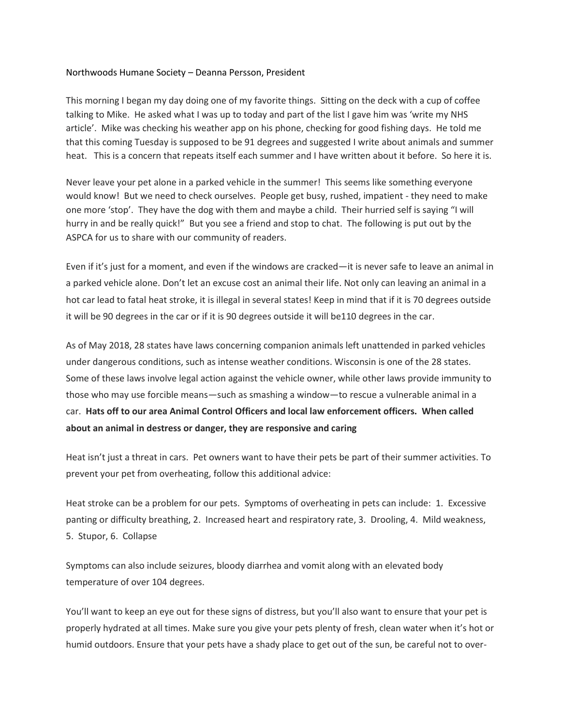## Northwoods Humane Society – Deanna Persson, President

This morning I began my day doing one of my favorite things. Sitting on the deck with a cup of coffee talking to Mike. He asked what I was up to today and part of the list I gave him was 'write my NHS article'. Mike was checking his weather app on his phone, checking for good fishing days. He told me that this coming Tuesday is supposed to be 91 degrees and suggested I write about animals and summer heat. This is a concern that repeats itself each summer and I have written about it before. So here it is.

Never leave your pet alone in a parked vehicle in the summer! This seems like something everyone would know! But we need to check ourselves. People get busy, rushed, impatient - they need to make one more 'stop'. They have the dog with them and maybe a child. Their hurried self is saying "I will hurry in and be really quick!" But you see a friend and stop to chat. The following is put out by the ASPCA for us to share with our community of readers.

Even if it's just for a moment, and even if the windows are cracked—it is never safe to leave an animal in a parked vehicle alone. Don't let an excuse cost an animal their life. Not only can leaving an animal in a hot car lead to fatal heat stroke, it is illegal in several states! Keep in mind that if it is 70 degrees outside it will be 90 degrees in the car or if it is 90 degrees outside it will be110 degrees in the car.

As of May 2018, 28 states have laws concerning companion animals left unattended in parked vehicles under dangerous conditions, such as intense weather conditions. Wisconsin is one of the 28 states. Some of these laws involve legal action against the vehicle owner, while other laws provide immunity to those who may use forcible means—such as smashing a window—to rescue a vulnerable animal in a car. **Hats off to our area Animal Control Officers and local law enforcement officers. When called about an animal in destress or danger, they are responsive and caring**

Heat isn't just a threat in cars. Pet owners want to have their pets be part of their summer activities. To prevent your pet from overheating, follow this additional advice:

Heat stroke can be a problem for our pets. Symptoms of overheating in pets can include: 1. Excessive panting or difficulty breathing, 2. Increased heart and respiratory rate, 3. Drooling, 4. Mild weakness, 5. Stupor, 6. Collapse

Symptoms can also include seizures, bloody diarrhea and vomit along with an elevated body temperature of over 104 degrees.

You'll want to keep an eye out for these signs of distress, but you'll also want to ensure that your pet is properly hydrated at all times. Make sure you give your pets plenty of fresh, clean water when it's hot or humid outdoors. Ensure that your pets have a shady place to get out of the sun, be careful not to over